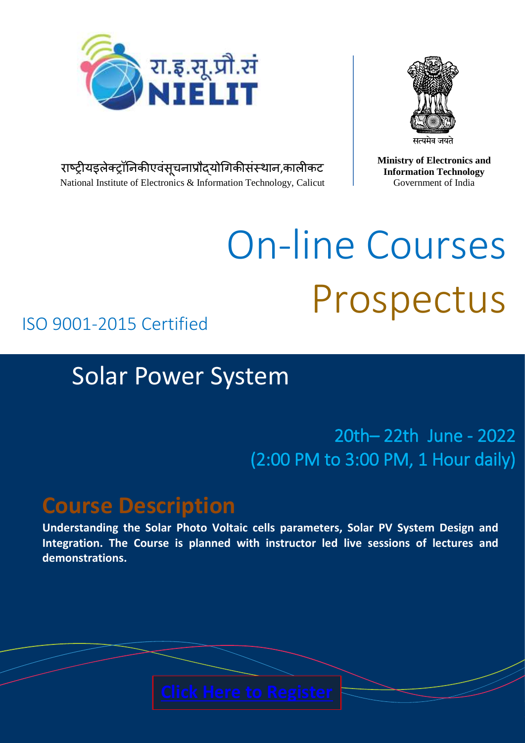



राष्ट्रीयइलेक्ट्रॉनिकीएवसूचनाप्रौद्योगिकीसंस्थान,कालीकट National Institute of Electronics & Information Technology, Calicut **Ministry of Electronics and Information Technology** Government of India

# On-line Courses Prospectus

### ISO 9001-2015 Certified

# Solar Power System

## 20th– 22th June - 2022 (2:00 PM to 3:00 PM, 1 Hour daily)

# **Course Description**

**Understanding the Solar Photo Voltaic cells parameters, Solar PV System Design and Integration. The Course is planned with instructor led live sessions of lectures and demonstrations.**

National Institute of Electronics and  $I$ March 2020 | xchange and the second state of the second state and state and state and state and state and state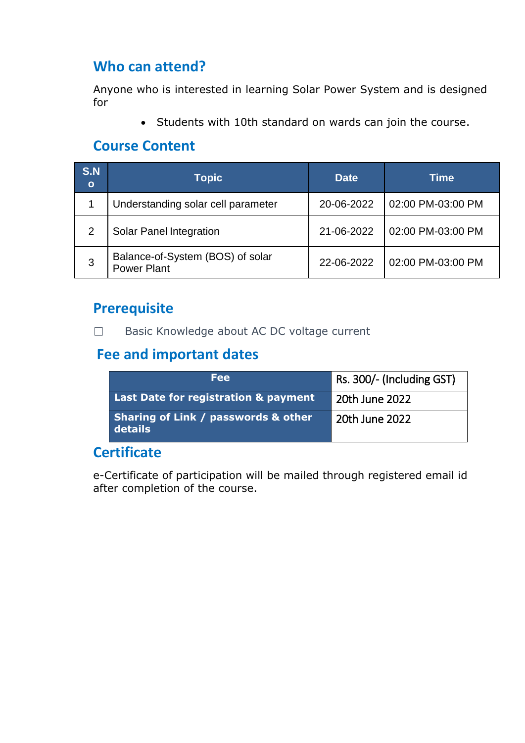#### **Who can attend?**

Anyone who is interested in learning Solar Power System and is designed for

• Students with 10th standard on wards can join the course.

#### **Course Content**

| <b>S.N</b><br>$\mathbf{o}$ | <b>Topic</b>                                           | <b>Date</b> | Time              |
|----------------------------|--------------------------------------------------------|-------------|-------------------|
|                            | Understanding solar cell parameter                     | 20-06-2022  | 02:00 PM-03:00 PM |
| 2                          | <b>Solar Panel Integration</b>                         | 21-06-2022  | 02:00 PM-03:00 PM |
| 3                          | Balance-of-System (BOS) of solar<br><b>Power Plant</b> | 22-06-2022  | 02:00 PM-03:00 PM |

#### **Prerequisite**

Basic Knowledge about AC DC voltage current  $\Box$ 

#### **Fee and important dates**

| Fee                                                       | Rs. 300/- (Including GST) |
|-----------------------------------------------------------|---------------------------|
| <b>Last Date for registration &amp; payment</b>           | 20th June 2022            |
| <b>Sharing of Link / passwords &amp; other</b><br>details | 20th June 2022            |

#### **Certificate**

e-Certificate of participation will be mailed through registered email id after completion of the course.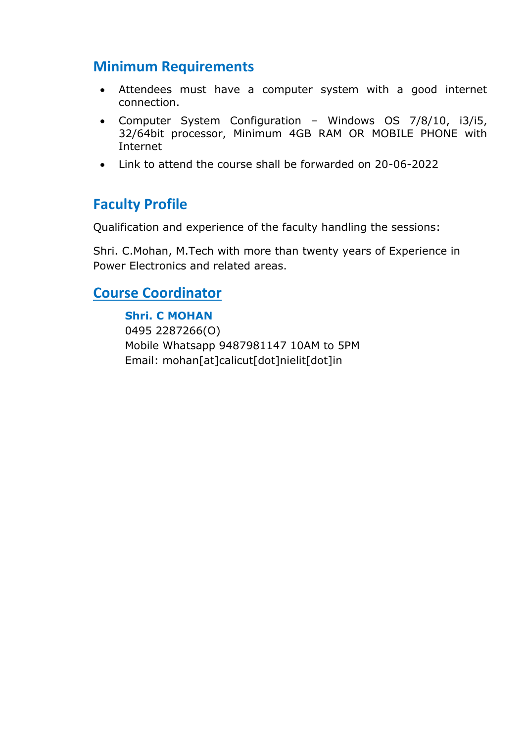#### **Minimum Requirements**

- Attendees must have a computer system with a good internet connection.
- Computer System Configuration Windows OS 7/8/10, i3/i5, 32/64bit processor, Minimum 4GB RAM OR MOBILE PHONE with Internet
- Link to attend the course shall be forwarded on 20-06-2022

#### **Faculty Profile**

Qualification and experience of the faculty handling the sessions:

Shri. C.Mohan, M.Tech with more than twenty years of Experience in Power Electronics and related areas.

#### **Course Coordinator**

#### **Shri. C MOHAN**

0495 2287266(O) Mobile Whatsapp 9487981147 10AM to 5PM Email: mohan[at]calicut[dot]nielit[dot]in